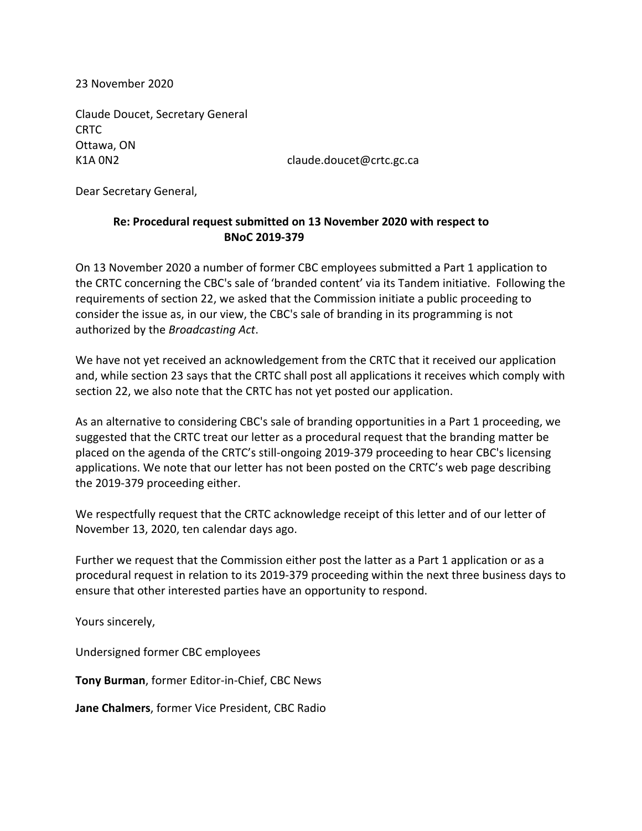23 November 2020

Claude Doucet, Secretary General CRTC Ottawa, ON K1A 0N2 claude.doucet@crtc.gc.ca

Dear Secretary General,

## **Re: Procedural request submitted on 13 November 2020 with respect to BNoC 2019-379**

On 13 November 2020 a number of former CBC employees submitted a Part 1 application to the CRTC concerning the CBC's sale of 'branded content' via its Tandem initiative. Following the requirements of section 22, we asked that the Commission initiate a public proceeding to consider the issue as, in our view, the CBC's sale of branding in its programming is not authorized by the *Broadcasting Act*.

We have not yet received an acknowledgement from the CRTC that it received our application and, while section 23 says that the CRTC shall post all applications it receives which comply with section 22, we also note that the CRTC has not yet posted our application.

As an alternative to considering CBC's sale of branding opportunities in a Part 1 proceeding, we suggested that the CRTC treat our letter as a procedural request that the branding matter be placed on the agenda of the CRTC's still-ongoing 2019-379 proceeding to hear CBC's licensing applications. We note that our letter has not been posted on the CRTC's web page describing the 2019-379 proceeding either.

We respectfully request that the CRTC acknowledge receipt of this letter and of our letter of November 13, 2020, ten calendar days ago.

Further we request that the Commission either post the latter as a Part 1 application or as a procedural request in relation to its 2019-379 proceeding within the next three business days to ensure that other interested parties have an opportunity to respond.

Yours sincerely,

Undersigned former CBC employees

**Tony Burman**, former Editor-in-Chief, CBC News

**Jane Chalmers**, former Vice President, CBC Radio